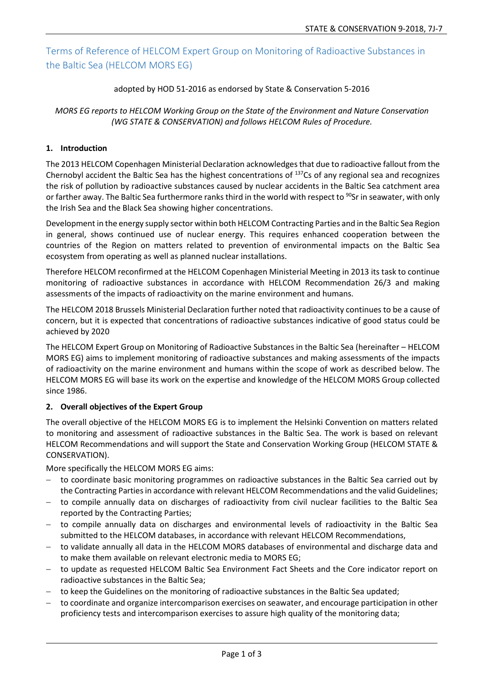# Terms of Reference of HELCOM Expert Group on Monitoring of Radioactive Substances in the Baltic Sea (HELCOM MORS EG)

#### adopted by HOD 51-2016 as endorsed by State & Conservation 5-2016

#### *MORS EG reports to HELCOM Working Group on the State of the Environment and Nature Conservation (WG STATE & CONSERVATION) and follows HELCOM Rules of Procedure.*

## **1. Introduction**

The 2013 HELCOM Copenhagen Ministerial Declaration acknowledges that due to radioactive fallout from the Chernobyl accident the Baltic Sea has the highest concentrations of 137Cs of any regional sea and recognizes the risk of pollution by radioactive substances caused by nuclear accidents in the Baltic Sea catchment area or farther away. The Baltic Sea furthermore ranks third in the world with respect to <sup>90</sup>Sr in seawater, with only the Irish Sea and the Black Sea showing higher concentrations.

Development in the energy supply sector within both HELCOM Contracting Parties and in the Baltic Sea Region in general, shows continued use of nuclear energy. This requires enhanced cooperation between the countries of the Region on matters related to prevention of environmental impacts on the Baltic Sea ecosystem from operating as well as planned nuclear installations.

Therefore HELCOM reconfirmed at the HELCOM Copenhagen Ministerial Meeting in 2013 its task to continue monitoring of radioactive substances in accordance with HELCOM Recommendation 26/3 and making assessments of the impacts of radioactivity on the marine environment and humans.

The HELCOM 2018 Brussels Ministerial Declaration further noted that radioactivity continues to be a cause of concern, but it is expected that concentrations of radioactive substances indicative of good status could be achieved by 2020

The HELCOM Expert Group on Monitoring of Radioactive Substances in the Baltic Sea (hereinafter – HELCOM MORS EG) aims to implement monitoring of radioactive substances and making assessments of the impacts of radioactivity on the marine environment and humans within the scope of work as described below. The HELCOM MORS EG will base its work on the expertise and knowledge of the HELCOM MORS Group collected since 1986.

## **2. Overall objectives of the Expert Group**

The overall objective of the HELCOM MORS EG is to implement the Helsinki Convention on matters related to monitoring and assessment of radioactive substances in the Baltic Sea. The work is based on relevant HELCOM Recommendations and will support the State and Conservation Working Group (HELCOM STATE & CONSERVATION).

More specifically the HELCOM MORS EG aims:

- − to coordinate basic monitoring programmes on radioactive substances in the Baltic Sea carried out by the Contracting Parties in accordance with relevant HELCOM Recommendations and the valid Guidelines;
- − to compile annually data on discharges of radioactivity from civil nuclear facilities to the Baltic Sea reported by the Contracting Parties;
- − to compile annually data on discharges and environmental levels of radioactivity in the Baltic Sea submitted to the HELCOM databases, in accordance with relevant HELCOM Recommendations,
- to validate annually all data in the HELCOM MORS databases of environmental and discharge data and to make them available on relevant electronic media to MORS EG;
- − to update as requested HELCOM Baltic Sea Environment Fact Sheets and the Core indicator report on radioactive substances in the Baltic Sea;
- − to keep the Guidelines on the monitoring of radioactive substances in the Baltic Sea updated;
- − to coordinate and organize intercomparison exercises on seawater, and encourage participation in other proficiency tests and intercomparison exercises to assure high quality of the monitoring data;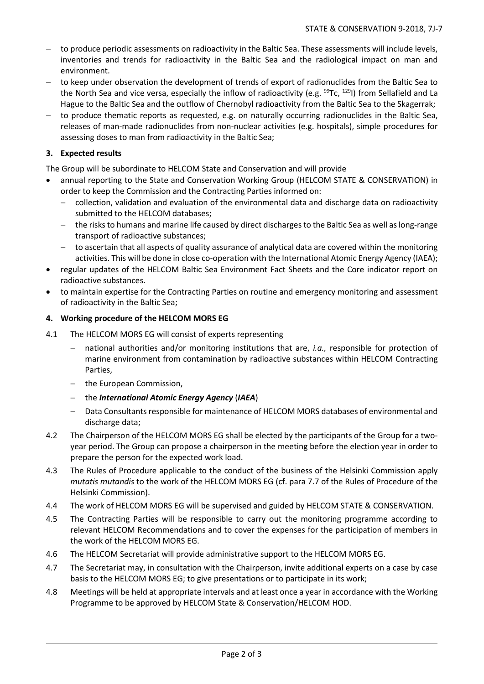- − to produce periodic assessments on radioactivity in the Baltic Sea. These assessments will include levels, inventories and trends for radioactivity in the Baltic Sea and the radiological impact on man and environment.
- − to keep under observation the development of trends of export of radionuclides from the Baltic Sea to the North Sea and vice versa, especially the inflow of radioactivity (e.g. <sup>99</sup>Tc, <sup>129</sup>I) from Sellafield and La Hague to the Baltic Sea and the outflow of Chernobyl radioactivity from the Baltic Sea to the Skagerrak;
- − to produce thematic reports as requested, e.g. on naturally occurring radionuclides in the Baltic Sea, releases of man-made radionuclides from non-nuclear activities (e.g. hospitals), simple procedures for assessing doses to man from radioactivity in the Baltic Sea;

# **3. Expected results**

The Group will be subordinate to HELCOM State and Conservation and will provide

- annual reporting to the State and Conservation Working Group (HELCOM STATE & CONSERVATION) in order to keep the Commission and the Contracting Parties informed on:
	- − collection, validation and evaluation of the environmental data and discharge data on radioactivity submitted to the HELCOM databases;
	- − the risks to humans and marine life caused by direct discharges to the Baltic Sea as well as long-range transport of radioactive substances;
	- − to ascertain that all aspects of quality assurance of analytical data are covered within the monitoring activities. This will be done in close co-operation with the International Atomic Energy Agency (IAEA);
- regular updates of the HELCOM Baltic Sea Environment Fact Sheets and the Core indicator report on radioactive substances.
- to maintain expertise for the Contracting Parties on routine and emergency monitoring and assessment of radioactivity in the Baltic Sea;

## **4. Working procedure of the HELCOM MORS EG**

- 4.1 The HELCOM MORS EG will consist of experts representing
	- national authorities and/or monitoring institutions that are, *i.a.*, responsible for protection of marine environment from contamination by radioactive substances within HELCOM Contracting Parties,
	- − the European Commission,
	- − the *International Atomic Energy Agency* (*IAEA*)
	- − Data Consultants responsible for maintenance of HELCOM MORS databases of environmental and discharge data;
- 4.2 The Chairperson of the HELCOM MORS EG shall be elected by the participants of the Group for a twoyear period. The Group can propose a chairperson in the meeting before the election year in order to prepare the person for the expected work load.
- 4.3 The Rules of Procedure applicable to the conduct of the business of the Helsinki Commission apply *mutatis mutandis* to the work of the HELCOM MORS EG (cf. para 7.7 of the Rules of Procedure of the Helsinki Commission).
- 4.4 The work of HELCOM MORS EG will be supervised and guided by HELCOM STATE & CONSERVATION.
- 4.5 The Contracting Parties will be responsible to carry out the monitoring programme according to relevant HELCOM Recommendations and to cover the expenses for the participation of members in the work of the HELCOM MORS EG.
- 4.6 The HELCOM Secretariat will provide administrative support to the HELCOM MORS EG.
- 4.7 The Secretariat may, in consultation with the Chairperson, invite additional experts on a case by case basis to the HELCOM MORS EG; to give presentations or to participate in its work;
- 4.8 Meetings will be held at appropriate intervals and at least once a year in accordance with the Working Programme to be approved by HELCOM State & Conservation/HELCOM HOD.